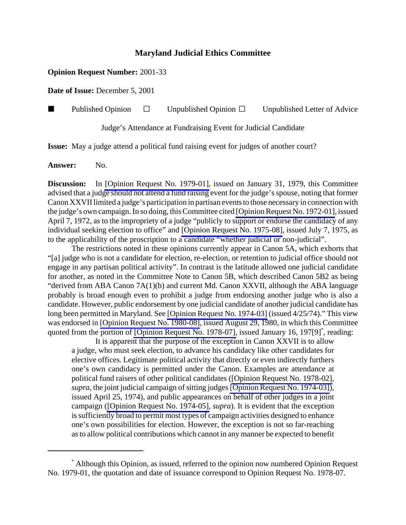## **Maryland Judicial Ethics Committee**

## **Opinion Request Number:** 2001-33

**Date of Issue:** December 5, 2001

**Published Opinion**  $\Box$  Unpublished Opinion  $\Box$  Unpublished Letter of Advice

Judge's Attendance at Fundraising Event for Judicial Candidate

**Issue:** May a judge attend a political fund raising event for judges of another court?

Answer: No.

**Discussion:** In [\[Opinion Request No. 1979-01\],](http://www.mdcourts.gov/ethics/pdfs/1979-01.pdf) issued on January 31, 1979, this Committee advised that a judge should not attend a fund raising event for the judge's spouse, noting that former Canon XXVII limited a judge's participation in partisan events to those necessary in connection with the judge's own campaign. In so doing, this Committee cited [\[Opinion Request No. 1972-01\],](http://www.mdcourts.gov/ethics/pdfs/1972-01.pdf) issued April 7, 1972, as to the impropriety of a judge "publicly to support or endorse the candidacy of any individual seeking election to office" and [\[Opinion Request No. 1975-08\]](http://www.mdcourts.gov/ethics/pdfs/1975-08.pdf), issued July 7, 1975, as to the applicability of the proscription to a candidate "whether judicial or non-judicial".

The restrictions noted in these opinions currently appear in Canon 5A, which exhorts that "[a] judge who is not a candidate for election, re-election, or retention to judicial office should not engage in any partisan political activity". In contrast is the latitude allowed one judicial candidate for another, as noted in the Committee Note to Canon 5B, which described Canon 5B2 as being "derived from ABA Canon 7A(1)(b) and current Md. Canon XXVII, although the ABA language probably is broad enough even to prohibit a judge from endorsing another judge who is also a candidate. However, public endorsement by one judicial candidate of another judicial candidate has long been permitted in Maryland. See [\[Opinion Request No. 1974-03\]](http://www.mdcourts.gov/ethics/pdfs/1974-03.pdf) (issued 4/25/74)." This view was endorsed in [\[Opinion Request No. 1980-08\],](http://www.mdcourts.gov/ethics/pdfs/1980-08.pdf) issued August 29, 1980, in which this Committee quoted from the portion of [\[Opinion Request No. 1978-07\],](http://www.mdcourts.gov/ethics/pdfs/1978-07.pdf) issued January 16, 197[9]<sup>\*</sup>, reading:

It is apparent that the purpose of the exception in Canon XXVII is to allow a judge, who must seek election, to advance his candidacy like other candidates for elective offices. Legitimate political activity that directly or even indirectly furthers one's own candidacy is permitted under the Canon. Examples are attendance at political fund raisers of other political candidates [\(\[Opinion Request No. 1978-02\],](http://www.mdcourts.gov/ethics/pdfs/1978-02.pdf) *supra*, the joint judicial campaign of sitting judges [\[Opinion Request No. 1974-03\]](http://www.mdcourts.gov/ethics/pdfs/1974-03.pdf)), issued April 25, 1974), and public appearances on behalf of other judges in a joint campaign [\(\[Opinion Request No. 1974-05\],](http://www.mdcourts.gov/ethics/pdfs/1974-05.pdf) *supra*). It is evident that the exception is sufficiently broad to permit most types of campaign activities designed to enhance one's own possibilities for election. However, the exception is not so far-reaching as to allow political contributions which cannot in any manner be expected to benefit

<sup>\*</sup> Although this Opinion, as issued, referred to the opinion now numbered Opinion Request No. 1979-01, the quotation and date of issuance correspond to Opinion Request No. 1978-07.